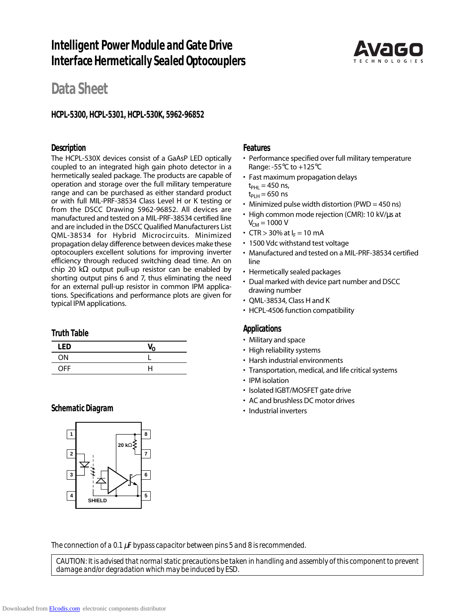# **Intelligent Power Module and Gate Drive Interface Hermetically Sealed Optocouplers**



# **Data Sheet**

## **HCPL-5300, HCPL-5301, HCPL-530K, 5962-96852**

### **Description**

The HCPL-530X devices consist of a GaAsP LED optically coupled to an integrated high gain photo detector in a hermetically sealed package. The products are capable of operation and storage over the full military temperature range and can be purchased as either standard product or with full MIL-PRF-38534 Class Level H or K testing or from the DSCC Drawing 5962-96852. All devices are manufactured and tested on a MIL-PRF-38534 certified line and are included in the DSCC Qualified Manufacturers List QML-38534 for Hybrid Microcircuits. Minimized propagation delay difference between devices make these optocouplers excellent solutions for improving inverter efficiency through reduced switching dead time. An on chip 20 kΩ output pull-up resistor can be enabled by shorting output pins 6 and 7, thus eliminating the need for an external pull-up resistor in common IPM applications. Specifications and performance plots are given for typical IPM applications.

#### **Truth Table**

| LED        | V <sub>o</sub> |
|------------|----------------|
| ON         |                |
| <b>OFF</b> | н              |

### **Schematic Diagram**



### **Features**

- Performance specified over full military temperature Range: -55°C to +125°C
- Fast maximum propagation delays  $t_{PHI} = 450$  ns,  $t_{PI H} = 650$  ns
- Minimized pulse width distortion (PWD = 450 ns)
- High common mode rejection (CMR): 10 kV/µs at  $V_{CM}$  = 1000 V
- CTR > 30% at  $I_F = 10$  mA
- 1500 Vdc withstand test voltage
- Manufactured and tested on a MIL-PRF-38534 certified line
- Hermetically sealed packages
- Dual marked with device part number and DSCC drawing number
- QML-38534, Class H and K
- HCPL-4506 function compatibility

### **Applications**

- Military and space
- High reliability systems
- Harsh industrial environments
- Transportation, medical, and life critical systems
- IPM isolation
- Isolated IGBT/MOSFET gate drive
- AC and brushless DC motor drives
- Industrial inverters

*The connection of a 0.1* µ*F bypass capacitor between pins 5 and 8 is recommended.*

*CAUTION: It is advised that normal static precautions be taken in handling and assembly of this component to prevent damage and/or degradation which may be induced by ESD.*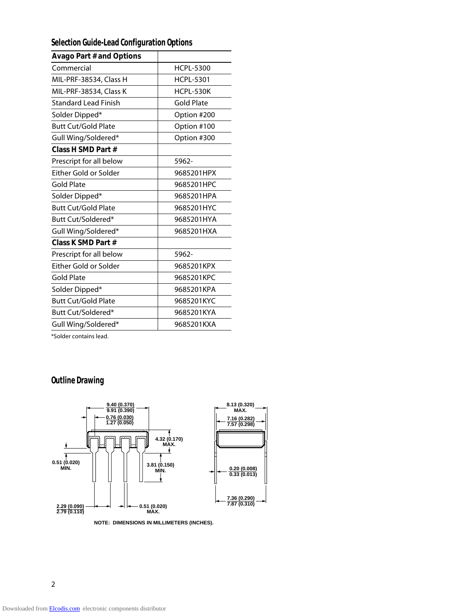## **Selection Guide-Lead Configuration Options**

| <b>Avago Part # and Options</b> |                   |
|---------------------------------|-------------------|
| Commercial                      | <b>HCPL-5300</b>  |
| MIL-PRF-38534, Class H          | <b>HCPL-5301</b>  |
| MIL-PRF-38534, Class K          | HCPL-530K         |
| <b>Standard Lead Finish</b>     | <b>Gold Plate</b> |
| Solder Dipped*                  | Option #200       |
| <b>Butt Cut/Gold Plate</b>      | Option #100       |
| Gull Wing/Soldered*             | Option #300       |
| Class H SMD Part #              |                   |
| Prescript for all below         | 5962-             |
| Either Gold or Solder           | 9685201HPX        |
| Gold Plate                      | 9685201HPC        |
| Solder Dipped*                  | 9685201HPA        |
| <b>Butt Cut/Gold Plate</b>      | 9685201HYC        |
| Butt Cut/Soldered*              | 9685201HYA        |
| Gull Wing/Soldered*             | 9685201HXA        |
| Class K SMD Part #              |                   |
| Prescript for all below         | 5962-             |
| Either Gold or Solder           | 9685201KPX        |
| <b>Gold Plate</b>               | 9685201KPC        |
| Solder Dipped*                  | 9685201KPA        |
| <b>Butt Cut/Gold Plate</b>      | 9685201KYC        |
| Butt Cut/Soldered*              | 9685201KYA        |
| Gull Wing/Soldered*             | 9685201KXA        |
|                                 |                   |

\*Solder contains lead.

## **Outline Drawing**



**NOTE: DIMENSIONS IN MILLIMETERS (INCHES).**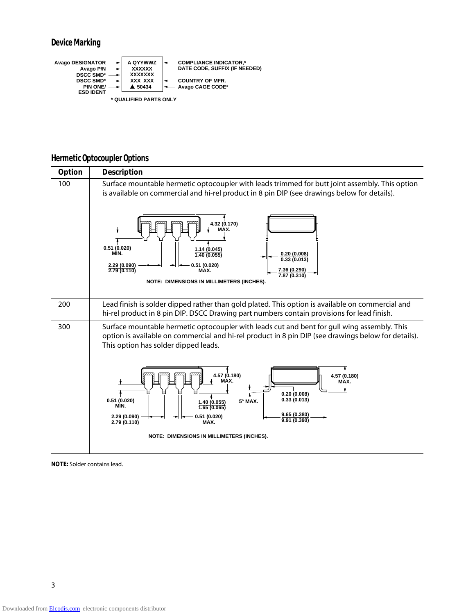

## **Hermetic Optocoupler Options**



**NOTE:** Solder contains lead.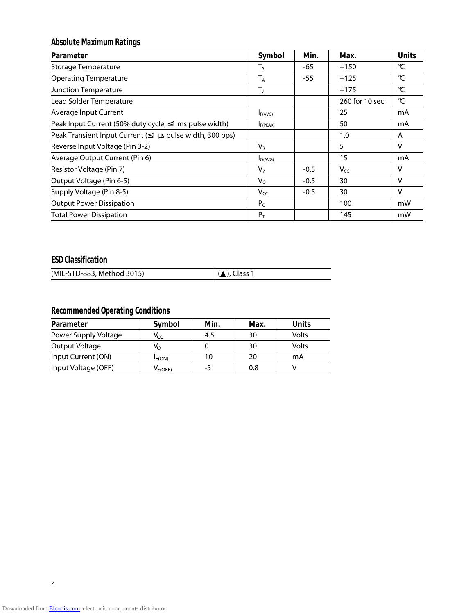## **Absolute Maximum Ratings**

| Parameter                                                 | Symbol         | Min.   | Max.           | <b>Units</b>  |
|-----------------------------------------------------------|----------------|--------|----------------|---------------|
| <b>Storage Temperature</b>                                | $T_{\rm S}$    | -65    | $+150$         | $\mathrm{C}$  |
| <b>Operating Temperature</b>                              | $T_A$          | $-55$  | $+125$         | $\mathcal{C}$ |
| Junction Temperature                                      | T,             |        | $+175$         | $\mathrm{C}$  |
| Lead Solder Temperature                                   |                |        | 260 for 10 sec | $\mathrm{C}$  |
| Average Input Current                                     | F(AVG)         |        | 25             | mA            |
| Peak Input Current (50% duty cycle, ≤1 ms pulse width)    | F(PEAK)        |        | 50             | mA            |
| Peak Transient Input Current (≤1 µs pulse width, 300 pps) |                |        | 1.0            | A             |
| Reverse Input Voltage (Pin 3-2)                           | $V_{R}$        |        | 5              | v             |
| Average Output Current (Pin 6)                            | $I_{O(AVG)}$   |        | 15             | mA            |
| Resistor Voltage (Pin 7)                                  | V <sub>7</sub> | $-0.5$ | <b>Vcc</b>     | v             |
| Output Voltage (Pin 6-5)                                  | $V_{\rm O}$    | $-0.5$ | 30             | v             |
| Supply Voltage (Pin 8-5)                                  | $V_{CC}$       | $-0.5$ | 30             | $\vee$        |
| <b>Output Power Dissipation</b>                           | $P_{O}$        |        | 100            | mW            |
| <b>Total Power Dissipation</b>                            | $P_T$          |        | 145            | mW            |

## **ESD Classification**

| (MIL-STD-883, Method 3015) | $(A)$ , Class 1 |
|----------------------------|-----------------|

## **Recommended Operating Conditions**

| Parameter            | Symbol       | Min. | Max. | <b>Units</b> |
|----------------------|--------------|------|------|--------------|
| Power Supply Voltage | Vcc          | 4.5  | 30   | Volts        |
| Output Voltage       | V∩           |      | 30   | Volts        |
| Input Current (ON)   | IF(ON)       | 10   | 20   | mA           |
| Input Voltage (OFF)  | $V_{F(OFF)}$ | -5   | 0.8  |              |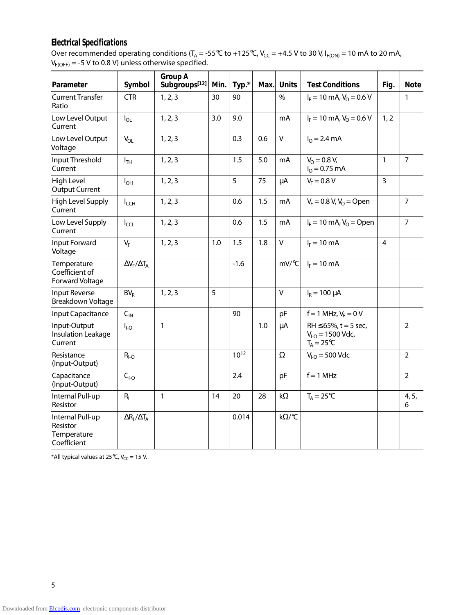## **Electrical Specifications**

Over recommended operating conditions (T<sub>A</sub> = -55°C to +125°C, V<sub>CC</sub> = +4.5 V to 30 V, I<sub>F(ON)</sub> = 10 mA to 20 mA,  $\mathsf{V}_{\mathsf{F}(\mathsf{OFF})}$  = -5 V to 0.8 V) unless otherwise specified.

| Parameter                                                  | Symbol                      | <b>Group A</b><br>Subgroups <sup>[12]</sup> | Min. | Typ.*  | Max. | <b>Units</b><br><b>Test Conditions</b> |                                                                            | Fig.           | <b>Note</b>    |
|------------------------------------------------------------|-----------------------------|---------------------------------------------|------|--------|------|----------------------------------------|----------------------------------------------------------------------------|----------------|----------------|
| <b>Current Transfer</b><br>Ratio                           | <b>CTR</b>                  | 1, 2, 3                                     | 30   | 90     |      | $\%$                                   | $I_F = 10$ mA, $V_O = 0.6$ V                                               |                | 1              |
| Low Level Output<br>Current                                | $I_{OL}$                    | 1, 2, 3                                     | 3.0  | 9.0    |      | mA                                     | $I_F = 10$ mA, $V_O = 0.6$ V                                               | 1, 2           |                |
| Low Level Output<br>Voltage                                | $V_{OL}$                    | 1, 2, 3                                     |      | 0.3    | 0.6  | $\mathsf{V}$                           | $I_{\Omega} = 2.4 \text{ mA}$                                              |                |                |
| Input Threshold<br>Current                                 | $I_{TH}$                    | 1, 2, 3                                     |      | 1.5    | 5.0  | mA                                     | $V_0 = 0.8 V$ ,<br>$IO = 0.75$ mA                                          | 1              | $\overline{7}$ |
| High Level<br><b>Output Current</b>                        | $I_{OH}$                    | 1, 2, 3                                     |      | 5      | 75   | μA                                     | $V_F = 0.8 V$                                                              | $\overline{3}$ |                |
| High Level Supply<br>Current                               | $I_{CCH}$                   | 1, 2, 3                                     |      | 0.6    | 1.5  | mA                                     | $V_F = 0.8 V, V_O = Open$                                                  |                | $\overline{7}$ |
| Low Level Supply<br>Current                                | $I_{CCL}$                   | 1, 2, 3                                     |      | 0.6    | 1.5  | mA                                     | $I_F = 10$ mA, $V_O =$ Open                                                |                | $\overline{7}$ |
| Input Forward<br>Voltage                                   | $V_F$                       | 1, 2, 3                                     | 1.0  | 1.5    | 1.8  | $\mathsf{V}$                           | $I_F = 10$ mA                                                              | $\overline{4}$ |                |
| Temperature<br>Coefficient of<br>Forward Voltage           | $\Delta V_F / \Delta T_A$   |                                             |      | $-1.6$ |      | mV/°C                                  | $I_F = 10$ mA                                                              |                |                |
| Input Reverse<br>Breakdown Voltage                         | $BV_R$                      | 1, 2, 3                                     | 5    |        |      | $\mathsf{V}$                           | $I_R = 100 \mu A$                                                          |                |                |
| Input Capacitance                                          | $C_{\text{IN}}$             |                                             |      | 90     |      | pF                                     | $f = 1$ MHz, $V_F = 0$ V                                                   |                |                |
| Input-Output<br><b>Insulation Leakage</b><br>Current       | $I_{I-O}$                   | $\mathbf{1}$                                |      |        | 1.0  | μA                                     | $RH \le 65\%$ , t = 5 sec,<br>$V_{I-O} = 1500$ Vdc,<br>$T_A = 25^{\circ}C$ |                | $\overline{2}$ |
| Resistance<br>(Input-Output)                               | $R_{I-O}$                   |                                             |      | 1012   |      | $\Omega$                               | $V_{I-O} = 500$ Vdc                                                        |                | $\overline{2}$ |
| Capacitance<br>(Input-Output)                              | C <sub>LO</sub>             |                                             |      | 2.4    |      | pF                                     | $f = 1$ MHz                                                                |                | $\overline{2}$ |
| Internal Pull-up<br>Resistor                               | $R_L$                       | 1                                           | 14   | 20     | 28   | $k\Omega$                              | $T_A = 25^{\circ}C$                                                        |                | 4, 5,<br>6     |
| Internal Pull-up<br>Resistor<br>Temperature<br>Coefficient | $\Delta R_{L}/\Delta T_{A}$ |                                             |      | 0.014  |      | k $\Omega$ /°C                         |                                                                            |                |                |

\*All typical values at 25°C,  $V_{CC} = 15$  V.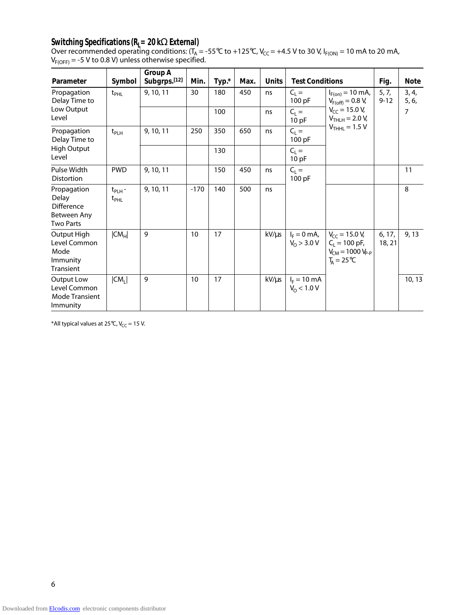## **Switching Specifications (RL= 20 k**Ω **External)**

Over recommended operating conditions: (T<sub>A</sub> = -55°C to +125°C, V<sub>CC</sub> = +4.5 V to 30 V, I<sub>F(ON)</sub> = 10 mA to 20 mA,  $V_{F(OFF)}$  = -5 V to 0.8 V) unless otherwise specified.

| Parameter                                                                    | Symbol                       | <b>Group A</b><br>Subgrps.[12] | Min.   | Typ.* | Max. | <b>Units</b> | <b>Test Conditions</b>                 |                                                                                                                        | Fig.              | <b>Note</b>    |
|------------------------------------------------------------------------------|------------------------------|--------------------------------|--------|-------|------|--------------|----------------------------------------|------------------------------------------------------------------------------------------------------------------------|-------------------|----------------|
| Propagation<br>Delay Time to                                                 | $t_{PHL}$                    | 9, 10, 11                      | 30     | 180   | 450  | ns           | $C_{L} =$<br>100 pF                    | $I_{F(on)} = 10 \text{ mA}$ ,<br>$V_{F(off)} = 0.8 V,$                                                                 | 5, 7,<br>$9 - 12$ | 3, 4,<br>5, 6, |
| Low Output<br>Level                                                          |                              |                                |        | 100   |      | ns           | $C_{L} =$<br>10pF                      | $V_{CC}$ = 15.0 V,<br>$V_{THLH} = 2.0 V,$                                                                              |                   | 7              |
| Propagation<br>Delay Time to                                                 | $t_{PLH}$                    | 9, 10, 11                      | 250    | 350   | 650  | ns           | $C_L =$<br>100 pF                      | $VTHHL = 1.5 V$                                                                                                        |                   |                |
| <b>High Output</b><br>Level                                                  |                              |                                |        | 130   |      |              | $C_{L} =$<br>10 pF                     |                                                                                                                        |                   |                |
| Pulse Width<br><b>Distortion</b>                                             | <b>PWD</b>                   | 9, 10, 11                      |        | 150   | 450  | ns           | $C_L =$<br>100 pF                      |                                                                                                                        |                   | 11             |
| Propagation<br>Delay<br><b>Difference</b><br>Between Any<br><b>Two Parts</b> | $t_{PLH}$ -<br>$t_{\sf PHL}$ | 9, 10, 11                      | $-170$ | 140   | 500  | ns           |                                        |                                                                                                                        |                   | 8              |
| Output High<br>Level Common<br>Mode<br>Immunity<br>Transient                 | $ CM_H $                     | 9                              | 10     | 17    |      | kV/µs        |                                        | $I_F = 0$ mA, $V_{CC} = 15.0$ V,<br>$V_0 > 3.0 V$ $C_L = 100 pF$ ,<br>$V_{CM} = 1000 V_{P-P}$<br>$T_{A} = 25^{\circ}C$ | 6, 17,<br>18, 21  | 9, 13          |
| Output Low<br>Level Common<br><b>Mode Transient</b><br>Immunity              | CM <sub>1</sub>              | 9                              | 10     | 17    |      | kV/µs        | $I_F = 10 \text{ mA}$<br>$V_0$ < 1.0 V |                                                                                                                        |                   | 10, 13         |

\*All typical values at 25°C,  $V_{CC}$  = 15 V.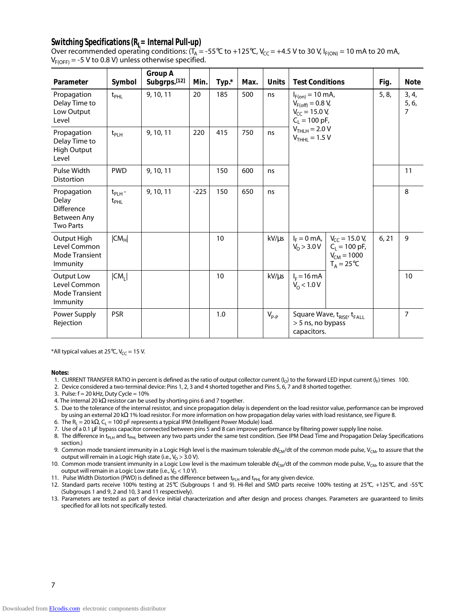## Switching Specifications (R<sub>L</sub>= Internal Pull-up)

Over recommended operating conditions:  $(T_A = -55^{\circ}C \text{ to } +125^{\circ}C$ ,  $V_{CC} = +4.5 \text{ V to } 30 \text{ V}$ ,  $I_{F(ON)} = 10 \text{ mA to } 20 \text{ mA}$ ,  $V_{F(OFF)} = -5$  V to 0.8 V) unless otherwise specified.

| Parameter                                                                    | Symbol                          | <b>Group A</b><br>Subgrps.[12] | Min.   | Typ.* | Max. | <b>Units</b> | <b>Test Conditions</b>                                                                                   |                                                                                                        | Fig.  | <b>Note</b>    |       |                                  |
|------------------------------------------------------------------------------|---------------------------------|--------------------------------|--------|-------|------|--------------|----------------------------------------------------------------------------------------------------------|--------------------------------------------------------------------------------------------------------|-------|----------------|-------|----------------------------------|
| Propagation<br>Delay Time to<br>Low Output<br>Level                          | $t_{PHL}$                       | 9, 10, 11                      | 20     | 185   | 500  | ns           | $I_{F(on)} = 10 \text{ mA}$ ,<br>$V_{F(off)} = 0.8 V,$<br>$V_{CC}$ = 15.0 V,<br>$C_1 = 100 \text{ pF}$ , |                                                                                                        |       |                | 5, 8, | 3, 4,<br>5, 6,<br>$\overline{7}$ |
| Propagation<br>Delay Time to<br><b>High Output</b><br>Level                  | $t_{PLH}$                       | 9, 10, 11                      | 220    | 415   | 750  | ns           | $VTHLH = 2.0 V$<br>$V_{THHL}$ = 1.5 V                                                                    |                                                                                                        |       |                |       |                                  |
| Pulse Width<br><b>Distortion</b>                                             | <b>PWD</b>                      | 9, 10, 11                      |        | 150   | 600  | ns           |                                                                                                          |                                                                                                        | 11    |                |       |                                  |
| Propagation<br>Delay<br><b>Difference</b><br>Between Any<br><b>Two Parts</b> | $t_{PLH}$ -<br>$t_{\text{PHL}}$ | 9, 10, 11                      | $-225$ | 150   | 650  | ns           |                                                                                                          |                                                                                                        |       | 8              |       |                                  |
| Output High<br>Level Common<br><b>Mode Transient</b><br>Immunity             | $ CM_H $                        |                                |        | 10    |      | kV/µs        | $V_0 > 3.0 V$                                                                                            | $I_F = 0$ mA, $V_{CC} = 15.0$ V,<br>$C_L = 100 \text{ pF}$ ,<br>$V_{CM} = 1000$<br>$T_A = 25^{\circ}C$ | 6, 21 | 9              |       |                                  |
| Output Low<br>Level Common<br><b>Mode Transient</b><br>Immunity              | $ CM_1 $                        |                                |        | 10    |      | kV/µs        | $I_F = 16 \text{ mA}$<br>$V_0$ < 1.0 V                                                                   |                                                                                                        |       | 10             |       |                                  |
| Power Supply<br>Rejection                                                    | <b>PSR</b>                      |                                |        | 1.0   |      | $V_{P-P}$    | > 5 ns, no bypass<br>capacitors.                                                                         | Square Wave, t <sub>RISE</sub> , t <sub>FALL</sub>                                                     |       | $\overline{7}$ |       |                                  |

\*All typical values at 25 $\degree$ C, V<sub>CC</sub> = 15 V.

**Notes:**

1. CURRENT TRANSFER RATIO in percent is defined as the ratio of output collector current  $(I<sub>O</sub>)$  to the forward LED input current  $(I<sub>F</sub>)$  times 100.

2. Device considered a two-terminal device: Pins 1, 2, 3 and 4 shorted together and Pins 5, 6, 7 and 8 shorted together.

3. Pulse:  $f = 20$  kHz, Duty Cycle =  $10\%$ 

4. The internal 20 kΩ resistor can be used by shorting pins 6 and 7 together.

- 5. Due to the tolerance of the internal resistor, and since propagation delay is dependent on the load resistor value, performance can be improved by using an external 20 kΩ 1% load resistor. For more information on how propagation delay varies with load resistance, see Figure 8.
- 6. The R<sub>L</sub> = 20 k $\Omega$ , C<sub>L</sub> = 100 pF represents a typical IPM (Intelligent Power Module) load.

7. Use of a 0.1 µF bypass capacitor connected between pins 5 and 8 can improve performance by filtering power supply line noise.

- 8. The difference in t<sub>PLH</sub> and t<sub>PHL</sub> between any two parts under the same test condition. (See IPM Dead Time and Propagation Delay Specifications section.)
- 9. Common mode transient immunity in a Logic High level is the maximum tolerable dV<sub>CM</sub>/dt of the common mode pulse, V<sub>CM</sub>, to assure that the output will remain in a Logic High state (i.e.,  $V_0 > 3.0$  V).
- 10. Common mode transient immunity in a Logic Low level is the maximum tolerable dV<sub>CM</sub>/dt of the common mode pulse, V<sub>CM</sub>, to assure that the output will remain in a Logic Low state (i.e.,  $V_0$  < 1.0 V).

11. Pulse Width Distortion (PWD) is defined as the difference between t<sub>PLH</sub> and t<sub>PHL</sub> for any given device.

- 12. Standard parts receive 100% testing at 25°C (Subgroups 1 and 9). Hi-Rel and SMD parts receive 100% testing at 25°C, +125°C, and -55°C (Subgroups 1 and 9, 2 and 10, 3 and 11 respectively).
- 13. Parameters are tested as part of device initial characterization and after design and process changes. Parameters are guaranteed to limits specified for all lots not specifically tested.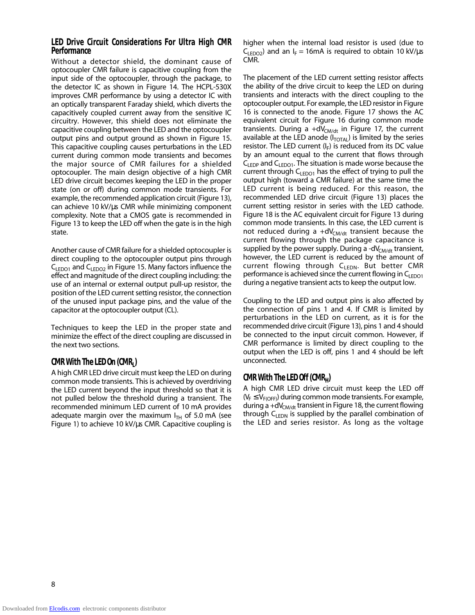#### **LED Drive Circuit Considerations For Ultra High CMR Performance**

Without a detector shield, the dominant cause of optocoupler CMR failure is capacitive coupling from the input side of the optocoupler, through the package, to the detector IC as shown in Figure 14. The HCPL-530X improves CMR performance by using a detector IC with an optically transparent Faraday shield, which diverts the capacitively coupled current away from the sensitive IC circuitry. However, this shield does not eliminate the capacitive coupling between the LED and the optocoupler output pins and output ground as shown in Figure 15. This capacitive coupling causes perturbations in the LED current during common mode transients and becomes the major source of CMR failures for a shielded optocoupler. The main design objective of a high CMR LED drive circuit becomes keeping the LED in the proper state (on or off) during common mode transients. For example, the recommended application circuit (Figure 13), can achieve 10 kV/µs CMR while minimizing component complexity. Note that a CMOS gate is recommended in Figure 13 to keep the LED off when the gate is in the high state.

Another cause of CMR failure for a shielded optocoupler is direct coupling to the optocoupler output pins through  $C_{LEDO1}$  and  $C_{LEDO2}$  in Figure 15. Many factors influence the effect and magnitude of the direct coupling including: the use of an internal or external output pull-up resistor, the position of the LED current setting resistor, the connection of the unused input package pins, and the value of the capacitor at the optocoupler output (CL).

Techniques to keep the LED in the proper state and minimize the effect of the direct coupling are discussed in the next two sections.

## **CMR With The LED On (CMR<sub>I</sub>)**

A high CMR LED drive circuit must keep the LED on during common mode transients. This is achieved by overdriving the LED current beyond the input threshold so that it is not pulled below the threshold during a transient. The recommended minimum LED current of 10 mA provides adequate margin over the maximum  $I<sub>TH</sub>$  of 5.0 mA (see Figure 1) to achieve 10 kV/µs CMR. Capacitive coupling is

higher when the internal load resistor is used (due to  $C_{LEDO2}$ ) and an I<sub>F</sub> = 16mA is required to obtain 10 kV/µs CMR.

The placement of the LED current setting resistor affects the ability of the drive circuit to keep the LED on during transients and interacts with the direct coupling to the optocoupler output. For example, the LED resistor in Figure 16 is connected to the anode. Figure 17 shows the AC equivalent circuit for Figure 16 during common mode transients. During a  $+dV_{CM/dt}$  in Figure 17, the current available at the LED anode  $(I_{\text{TOTAL}})$  is limited by the series resistor. The LED current  $(I_F)$  is reduced from its DC value by an amount equal to the current that flows through  $C_{\text{EDP}}$  and  $C_{\text{EDO1}}$ . The situation is made worse because the current through  $C_{LEDO1}$  has the effect of trying to pull the output high (toward a CMR failure) at the same time the LED current is being reduced. For this reason, the recommended LED drive circuit (Figure 13) places the current setting resistor in series with the LED cathode. Figure 18 is the AC equivalent circuit for Figure 13 during common mode transients. In this case, the LED current is not reduced during a  $+dV_{CM/dt}$  transient because the current flowing through the package capacitance is supplied by the power supply. During a -dV $_{CMA}$  transient, however, the LED current is reduced by the amount of current flowing through  $C_{\text{FDM}}$ . But better CMR performance is achieved since the current flowing in  $\mathsf{C}_{\mathsf{FDO1}}$ during a negative transient acts to keep the output low.

Coupling to the LED and output pins is also affected by the connection of pins 1 and 4. If CMR is limited by perturbations in the LED on current, as it is for the recommended drive circuit (Figure 13), pins 1 and 4 should be connected to the input circuit common. However, if CMR performance is limited by direct coupling to the output when the LED is off, pins 1 and 4 should be left unconnected.

### **CMR With The LED Off (CMRH)**

A high CMR LED drive circuit must keep the LED off  $(V_F \leq V_{F(OFF)})$  during common mode transients. For example, during a  $+dV<sub>CM/dt</sub>$  transient in Figure 18, the current flowing through  $C_{LEDN}$  is supplied by the parallel combination of the LED and series resistor. As long as the voltage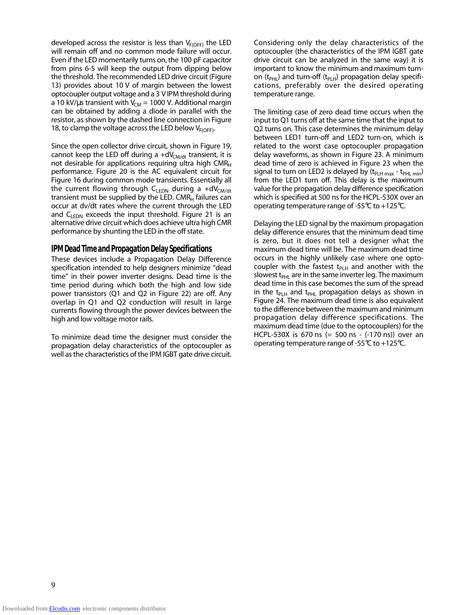developed across the resistor is less than  $V_{F(OFF)}$  the LED will remain off and no common mode failure will occur. Even if the LED momentarily turns on, the 100 pF capacitor from pins 6-5 will keep the output from dipping below the threshold. The recommended LED drive circuit (Figure 13) provides about 10 V of margin between the lowest optocoupler output voltage and a 3 V IPM threshold during a 10 kV/ $\mu$ s transient with V<sub>CM</sub> = 1000 V. Additional margin can be obtained by adding a diode in parallel with the resistor, as shown by the dashed line connection in Figure 18, to clamp the voltage across the LED below  $V_{F(OFF)}$ .

Since the open collector drive circuit, shown in Figure 19, cannot keep the LED off during a  $+dV_{CM/dt}$  transient, it is not desirable for applications requiring ultra high  $CMR<sub>H</sub>$ performance. Figure 20 is the AC equivalent circuit for Figure 16 during common mode transients. Essentially all the current flowing through  $C_{LEDN}$  during a +dV<sub>CM/dt</sub> transient must be supplied by the LED. CMR $<sub>H</sub>$  failures can</sub> occur at dv/dt rates where the current through the LED and  $C_{\text{IFDN}}$  exceeds the input threshold. Figure 21 is an alternative drive circuit which does achieve ultra high CMR performance by shunting the LED in the off state.

#### **IPM Dead Time and Propagation Delay Specifications**

These devices include a Propagation Delay Difference specification intended to help designers minimize "dead time" in their power inverter designs. Dead time is the time period during which both the high and low side power transistors (Q1 and Q2 in Figure 22) are off. Any overlap in Q1 and Q2 conduction will result in large currents flowing through the power devices between the high and low voltage motor rails.

To minimize dead time the designer must consider the propagation delay characteristics of the optocoupler as well as the characteristics of the IPM IGBT gate drive circuit.

Considering only the delay characteristics of the optocoupler (the characteristics of the IPM IGBT gate drive circuit can be analyzed in the same way) it is important to know the minimum and maximum turnon (t<sub>PHL</sub>) and turn-off (t<sub>PLH</sub>) propagation delay specifications, preferably over the desired operating temperature range.

The limiting case of zero dead time occurs when the input to Q1 turns off at the same time that the input to Q2 turns on. This case determines the minimum delay between LED1 turn-off and LED2 turn-on, which is related to the worst case optocoupler propagation delay waveforms, as shown in Figure 23. A minimum dead time of zero is achieved in Figure 23 when the signal to turn on LED2 is delayed by  $(t_{PLH max} - t_{PHL min})$ from the LED1 turn off. This delay is the maximum value for the propagation delay difference specification which is specified at 500 ns for the HCPL-530X over an operating temperature range of -55°C to +125°C.

Delaying the LED signal by the maximum propagation delay difference ensures that the minimum dead time is zero, but it does not tell a designer what the maximum dead time will be. The maximum dead time occurs in the highly unlikely case where one optocoupler with the fastest  $t_{PLH}$  and another with the slowest t $_{PHL}$  are in the same inverter leg. The maximum dead time in this case becomes the sum of the spread in the t<sub>PLH</sub> and t<sub>PHL</sub> propagation delays as shown in Figure 24. The maximum dead time is also equivalent to the difference between the maximum and minimum propagation delay difference specifications. The maximum dead time (due to the optocouplers) for the HCPL-530X is 670 ns (= 500 ns - (-170 ns)) over an operating temperature range of -55 $\degree$ C to +125 $\degree$ C.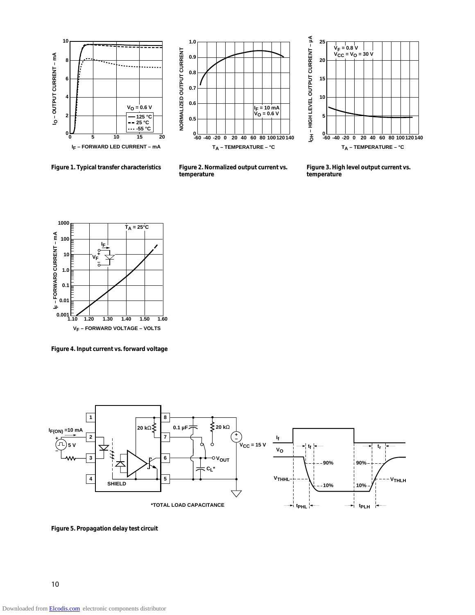





**Figure 1. Typical transfer characteristics Figure 2. Normalized output current vs.**

**temperature**

**Figure 3. High level output current vs. temperature**



**Figure 4. Input current vs. forward voltage**



**Figure 5. Propagation delay test circuit**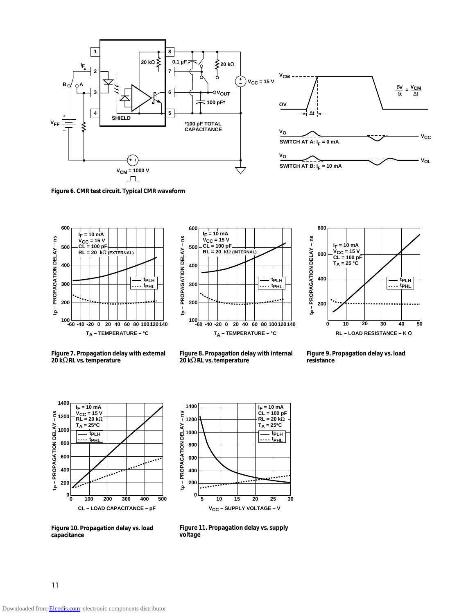



**SWITCH AT B:**  $I_F = 10$  mA

**Figure 6. CMR test circuit. Typical CMR waveform**







**Figure 7. Propagation delay with external 20 k**Ω **RL vs. temperature**



**Figure 9. Propagation delay vs. load resistance**





**Figure 10. Propagation delay vs. load capacitance**

**Figure 11. Propagation delay vs. supply voltage**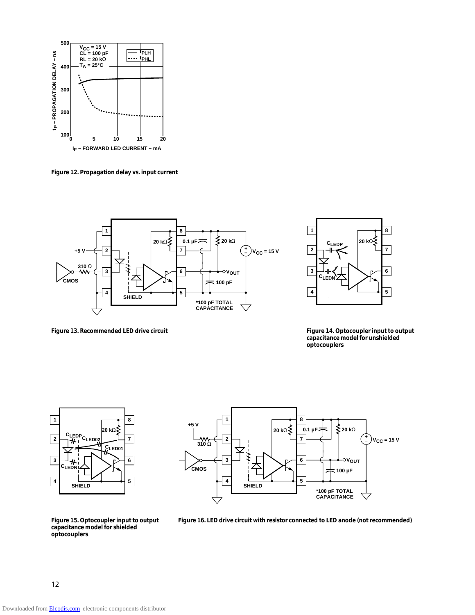

**Figure 12. Propagation delay vs. input current**





**Figure 13. Recommended LED drive circuit Figure 14. Optocoupler input to output capacitance model for unshielded optocouplers**





**Figure 16. LED drive circuit with resistor connected to LED anode (not recommended)**

**Figure 15. Optocoupler input to output capacitance model for shielded optocouplers**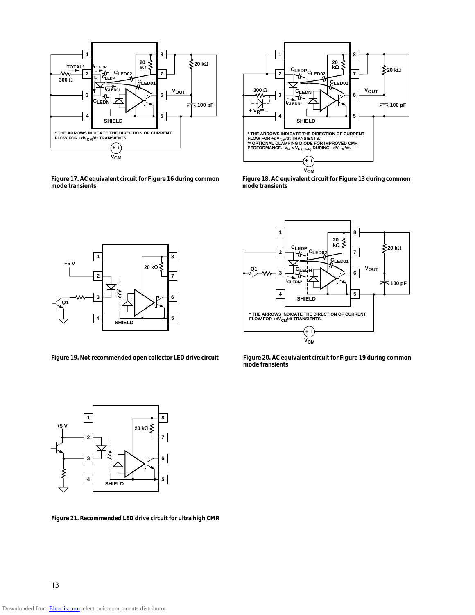

**Figure 17. AC equivalent circuit for Figure 16 during common mode transients**



**Figure 18. AC equivalent circuit for Figure 13 during common mode transients**



**Figure 19. Not recommended open collector LED drive circuit**



**Figure 20. AC equivalent circuit for Figure 19 during common mode transients**



**Figure 21. Recommended LED drive circuit for ultra high CMR**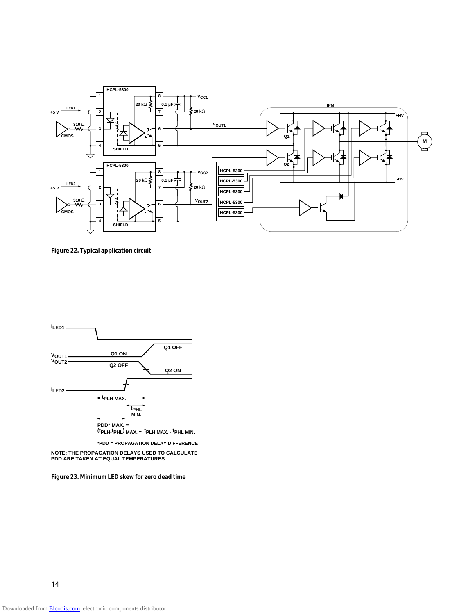

**Figure 22. Typical application circuit**



**\*PDD = PROPAGATION DELAY DIFFERENCE**

**NOTE: THE PROPAGATION DELAYS USED TO CALCULATE PDD ARE TAKEN AT EQUAL TEMPERATURES.**

**Figure 23. Minimum LED skew for zero dead time**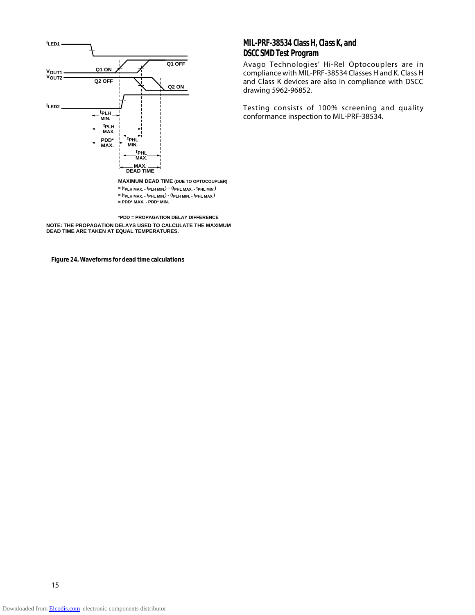

**\*PDD = PROPAGATION DELAY DIFFERENCE NOTE: THE PROPAGATION DELAYS USED TO CALCULATE THE MAXIMUM DEAD TIME ARE TAKEN AT EQUAL TEMPERATURES.**

**Figure 24. Waveforms for dead time calculations**

### **MIL-PRF-38534 Class H, Class K, and DSCC SMD Test Program**

Avago Technologies' Hi-Rel Optocouplers are in compliance with MIL-PRF-38534 Classes H and K. Class H and Class K devices are also in compliance with DSCC drawing 5962-96852.

Testing consists of 100% screening and quality conformance inspection to MIL-PRF-38534.